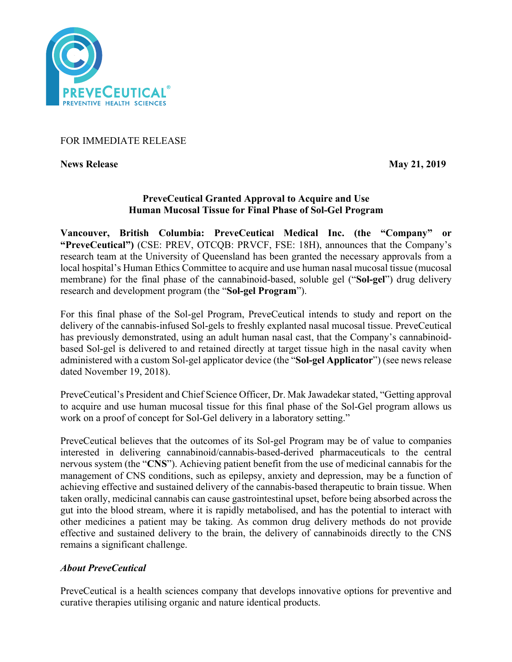

## FOR IMMEDIATE RELEASE

**News Release** May 21, 2019

## **PreveCeutical Granted Approval to Acquire and Use Human Mucosal Tissue for Final Phase of Sol-Gel Program**

**Vancouver, British Columbia: PreveCeutical Medical Inc. (the "Company" or "PreveCeutical")** (CSE: PREV, OTCQB: PRVCF, FSE: 18H), announces that the Company's research team at the University of Queensland has been granted the necessary approvals from a local hospital's Human Ethics Committee to acquire and use human nasal mucosal tissue (mucosal membrane) for the final phase of the cannabinoid-based, soluble gel ("**Sol-gel**") drug delivery research and development program (the "**Sol-gel Program**").

For this final phase of the Sol-gel Program, PreveCeutical intends to study and report on the delivery of the cannabis-infused Sol-gels to freshly explanted nasal mucosal tissue. PreveCeutical has previously demonstrated, using an adult human nasal cast, that the Company's cannabinoidbased Sol-gel is delivered to and retained directly at target tissue high in the nasal cavity when administered with a custom Sol-gel applicator device (the "**Sol-gel Applicator**") (see news release dated November 19, 2018).

PreveCeutical's President and Chief Science Officer, Dr. Mak Jawadekar stated, "Getting approval to acquire and use human mucosal tissue for this final phase of the Sol-Gel program allows us work on a proof of concept for Sol-Gel delivery in a laboratory setting."

PreveCeutical believes that the outcomes of its Sol-gel Program may be of value to companies interested in delivering cannabinoid/cannabis-based-derived pharmaceuticals to the central nervous system (the "**CNS**"). Achieving patient benefit from the use of medicinal cannabis for the management of CNS conditions, such as epilepsy, anxiety and depression, may be a function of achieving effective and sustained delivery of the cannabis-based therapeutic to brain tissue. When taken orally, medicinal cannabis can cause gastrointestinal upset, before being absorbed across the gut into the blood stream, where it is rapidly metabolised, and has the potential to interact with other medicines a patient may be taking. As common drug delivery methods do not provide effective and sustained delivery to the brain, the delivery of cannabinoids directly to the CNS remains a significant challenge.

# *About PreveCeutical*

PreveCeutical is a health sciences company that develops innovative options for preventive and curative therapies utilising organic and nature identical products.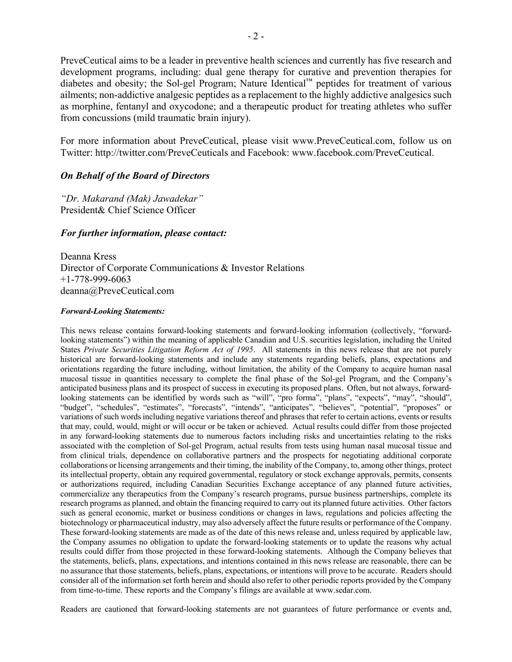PreveCeutical aims to be a leader in preventive health sciences and currently has five research and development programs, including: dual gene therapy for curative and prevention therapies for diabetes and obesity; the Sol-gel Program; Nature Identical™ peptides for treatment of various ailments; non-addictive analgesic peptides as a replacement to the highly addictive analgesics such as morphine, fentanyl and oxycodone; and a therapeutic product for treating athletes who suffer from concussions (mild traumatic brain injury).

For more information about PreveCeutical, please visit www.PreveCeutical.com, follow us on Twitter: http://twitter.com/PreveCeuticals and Facebook: www.facebook.com/PreveCeutical.

### *On Behalf of the Board of Directors*

*"Dr. Makarand (Mak) Jawadekar"* President& Chief Science Officer

### *For further information, please contact:*

Deanna Kress Director of Corporate Communications & Investor Relations +1-778-999-6063 deanna@PreveCeutical.com

#### *Forward-Looking Statements:*

This news release contains forward-looking statements and forward-looking information (collectively, "forwardlooking statements") within the meaning of applicable Canadian and U.S. securities legislation, including the United States *Private Securities Litigation Reform Act of 1995*. All statements in this news release that are not purely historical are forward-looking statements and include any statements regarding beliefs, plans, expectations and orientations regarding the future including, without limitation, the ability of the Company to acquire human nasal mucosal tissue in quantities necessary to complete the final phase of the Sol-gel Program, and the Company's anticipated business plans and its prospect of success in executing its proposed plans. Often, but not always, forwardlooking statements can be identified by words such as "will", "pro forma", "plans", "expects", "may", "should", "budget", "schedules", "estimates", "forecasts", "intends", "anticipates", "believes", "potential", "proposes" or variations of such words including negative variations thereof and phrases that refer to certain actions, events or results that may, could, would, might or will occur or be taken or achieved. Actual results could differ from those projected in any forward-looking statements due to numerous factors including risks and uncertainties relating to the risks associated with the completion of Sol-gel Program, actual results from tests using human nasal mucosal tissue and from clinical trials, dependence on collaborative partners and the prospects for negotiating additional corporate collaborations or licensing arrangements and their timing, the inability of the Company, to, among other things, protect its intellectual property, obtain any required governmental, regulatory or stock exchange approvals, permits, consents or authorizations required, including Canadian Securities Exchange acceptance of any planned future activities, commercialize any therapeutics from the Company's research programs, pursue business partnerships, complete its research programs as planned, and obtain the financing required to carry out its planned future activities. Other factors such as general economic, market or business conditions or changes in laws, regulations and policies affecting the biotechnology or pharmaceutical industry, may also adversely affect the future results or performance of the Company. These forward-looking statements are made as of the date of this news release and, unless required by applicable law, the Company assumes no obligation to update the forward-looking statements or to update the reasons why actual results could differ from those projected in these forward-looking statements. Although the Company believes that the statements, beliefs, plans, expectations, and intentions contained in this news release are reasonable, there can be no assurance that those statements, beliefs, plans, expectations, or intentions will prove to be accurate. Readers should consider all of the information set forth herein and should also refer to other periodic reports provided by the Company from time-to-time. These reports and the Company's filings are available at www.sedar.com.

Readers are cautioned that forward-looking statements are not guarantees of future performance or events and,